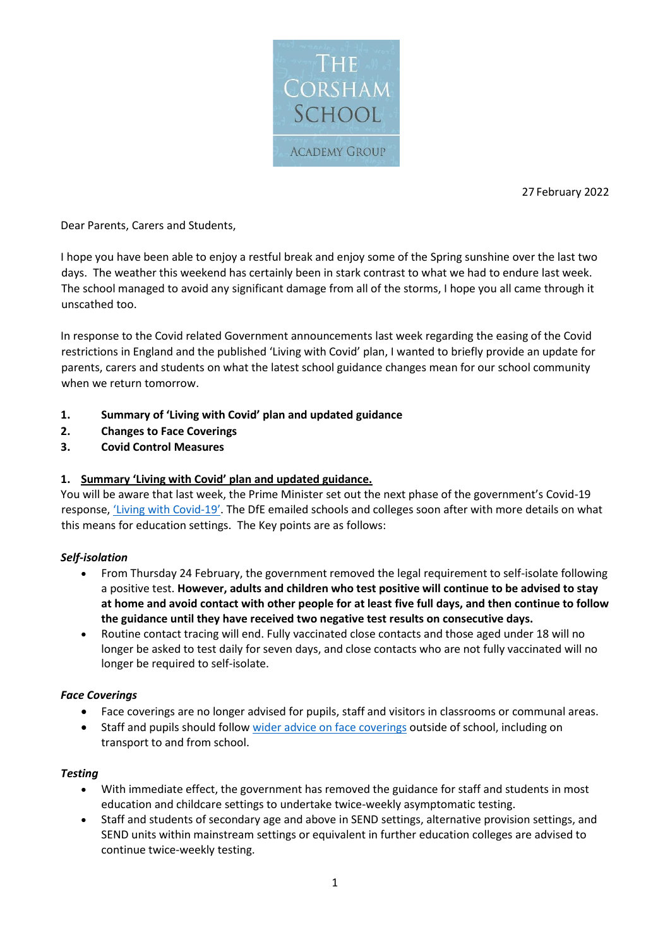

27 February 2022

Dear Parents, Carers and Students,

I hope you have been able to enjoy a restful break and enjoy some of the Spring sunshine over the last two days. The weather this weekend has certainly been in stark contrast to what we had to endure last week. The school managed to avoid any significant damage from all of the storms, I hope you all came through it unscathed too.

In response to the Covid related Government announcements last week regarding the easing of the Covid restrictions in England and the published 'Living with Covid' plan, I wanted to briefly provide an update for parents, carers and students on what the latest school guidance changes mean for our school community when we return tomorrow.

- **1. Summary of 'Living with Covid' plan and updated guidance**
- **2. Changes to Face Coverings**
- **3. Covid Control Measures**

### **1. Summary 'Living with Covid' plan and updated guidance.**

You will be aware that last week, the Prime Minister set out the next phase of the government's Covid-19 response, ['Living with Co](https://eur01.safelinks.protection.outlook.com/?url=https%3A%2F%2Fascl.us7.list-manage.com%2Ftrack%2Fclick%3Fu%3Ddae6fbf66d6135a8a21b3627d%26id%3Dd55fd96c9f%26e%3Df4fda47392&data=04%7C01%7CRBell%40corsham.wilts.sch.uk%7C6bf11fc113544bdf4cac08d9fa0fd224%7Cae2d489627854217a0ae572acf3597f9%7C0%7C0%7C637815768118567912%7CUnknown%7CTWFpbGZsb3d8eyJWIjoiMC4wLjAwMDAiLCJQIjoiV2luMzIiLCJBTiI6Ik1haWwiLCJXVCI6Mn0%3D%7C3000&sdata=MUKcftyyCzobV7gvcmH%2FZ9bFXt7OZQ7F5uJtVylt%2FQs%3D&reserved=0)vid-19'. The DfE emailed schools and colleges soon after with more details on what this means for education settings. The Key points are as follows:

### *Self-isolation*

- From Thursday 24 February, the government removed the legal requirement to self-isolate following a positive test. **However, adults and children who test positive will continue to be advised to stay at home and avoid contact with other people for at least five full days, and then continue to follow the guidance until they have received two negative test results on consecutive days.**
- Routine contact tracing will end. Fully vaccinated close contacts and those aged under 18 will no longer be asked to test daily for seven days, and close contacts who are not fully vaccinated will no longer be required to self-isolate.

#### *Face Coverings*

- Face coverings are no longer advised for pupils, staff and visitors in classrooms or communal areas.
- Staff and pupils should follow [wider advice on face coverings](https://eur01.safelinks.protection.outlook.com/?url=https%3A%2F%2Fwww.gov.uk%2Fgovernment%2Fpublications%2Fface-coverings-when-to-wear-one-and-how-to-make-your-own%2Fface-coverings-when-to-wear-one-and-how-to-make-your-own&data=04%7C01%7CRBell%40corsham.wilts.sch.uk%7C6bf11fc113544bdf4cac08d9fa0fd224%7Cae2d489627854217a0ae572acf3597f9%7C0%7C0%7C637815768118567912%7CUnknown%7CTWFpbGZsb3d8eyJWIjoiMC4wLjAwMDAiLCJQIjoiV2luMzIiLCJBTiI6Ik1haWwiLCJXVCI6Mn0%3D%7C3000&sdata=MuqN3qBuCZNHoF%2BYq4QMDbTMI6jwRQ0UOxxWyb2GBA0%3D&reserved=0) outside of school, including on transport to and from school.

#### *Testing*

- With immediate effect, the government has removed the guidance for staff and students in most education and childcare settings to undertake twice-weekly asymptomatic testing.
- Staff and students of secondary age and above in SEND settings, alternative provision settings, and SEND units within mainstream settings or equivalent in further education colleges are advised to continue twice-weekly testing.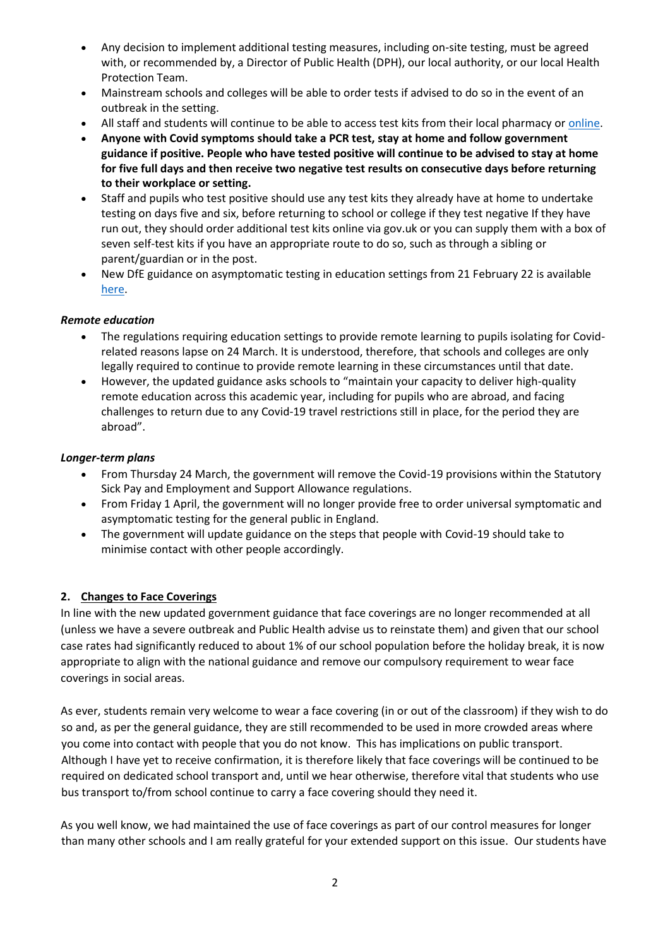- Any decision to implement additional testing measures, including on-site testing, must be agreed with, or recommended by, a Director of Public Health (DPH), our local authority, or our local Health Protection Team.
- Mainstream schools and colleges will be able to order tests if advised to do so in the event of an outbreak in the setting.
- All staff and students will continue to be able to access test kits from their local pharmacy or [online.](https://eur01.safelinks.protection.outlook.com/?url=https%3A%2F%2Fascl.us7.list-manage.com%2Ftrack%2Fclick%3Fu%3Ddae6fbf66d6135a8a21b3627d%26id%3D7d7bc0bb2f%26e%3Df4fda47392&data=04%7C01%7CRBell%40corsham.wilts.sch.uk%7C6bf11fc113544bdf4cac08d9fa0fd224%7Cae2d489627854217a0ae572acf3597f9%7C0%7C0%7C637815768118567912%7CUnknown%7CTWFpbGZsb3d8eyJWIjoiMC4wLjAwMDAiLCJQIjoiV2luMzIiLCJBTiI6Ik1haWwiLCJXVCI6Mn0%3D%7C3000&sdata=EOfDkn2l%2BCqbdd%2F6K%2FMmOAg9UtRiHfnrsHwXf16YHy4%3D&reserved=0)
- **Anyone with Covid symptoms should take a PCR test, stay at home and follow government guidance if positive. People who have tested positive will continue to be advised to stay at home for five full days and then receive two negative test results on consecutive days before returning to their workplace or setting.**
- Staff and pupils who test positive should use any test kits they already have at home to undertake testing on days five and six, before returning to school or college if they test negative If they have run out, they should order additional test kits online via gov.uk or you can supply them with a box of seven self-test kits if you have an appropriate route to do so, such as through a sibling or parent/guardian or in the post.
- New DfE guidance on asymptomatic testing in education settings from 21 February 22 is available [here.](https://eur01.safelinks.protection.outlook.com/?url=https%3A%2F%2Fascl.us7.list-manage.com%2Ftrack%2Fclick%3Fu%3Ddae6fbf66d6135a8a21b3627d%26id%3D566a477b1e%26e%3Df4fda47392&data=04%7C01%7CRBell%40corsham.wilts.sch.uk%7C6bf11fc113544bdf4cac08d9fa0fd224%7Cae2d489627854217a0ae572acf3597f9%7C0%7C0%7C637815768118567912%7CUnknown%7CTWFpbGZsb3d8eyJWIjoiMC4wLjAwMDAiLCJQIjoiV2luMzIiLCJBTiI6Ik1haWwiLCJXVCI6Mn0%3D%7C3000&sdata=brWmGfGqs5eYKyEjXwN%2BPVlr7eCJG3x3W1BgLZQfpLU%3D&reserved=0)

### *Remote education*

- The regulations requiring education settings to provide remote learning to pupils isolating for Covidrelated reasons lapse on 24 March. It is understood, therefore, that schools and colleges are only legally required to continue to provide remote learning in these circumstances until that date.
- However, the updated guidance asks schools to "maintain your capacity to deliver high-quality remote education across this academic year, including for pupils who are abroad, and facing challenges to return due to any Covid-19 travel restrictions still in place, for the period they are abroad".

### *Longer-term plans*

- From Thursday 24 March, the government will remove the Covid-19 provisions within the Statutory Sick Pay and Employment and Support Allowance regulations.
- From Friday 1 April, the government will no longer provide free to order universal symptomatic and asymptomatic testing for the general public in England.
- The government will update guidance on the steps that people with Covid-19 should take to minimise contact with other people accordingly.

# **2. Changes to Face Coverings**

In line with the new updated government guidance that face coverings are no longer recommended at all (unless we have a severe outbreak and Public Health advise us to reinstate them) and given that our school case rates had significantly reduced to about 1% of our school population before the holiday break, it is now appropriate to align with the national guidance and remove our compulsory requirement to wear face coverings in social areas.

As ever, students remain very welcome to wear a face covering (in or out of the classroom) if they wish to do so and, as per the general guidance, they are still recommended to be used in more crowded areas where you come into contact with people that you do not know. This has implications on public transport. Although I have yet to receive confirmation, it is therefore likely that face coverings will be continued to be required on dedicated school transport and, until we hear otherwise, therefore vital that students who use bus transport to/from school continue to carry a face covering should they need it.

As you well know, we had maintained the use of face coverings as part of our control measures for longer than many other schools and I am really grateful for your extended support on this issue. Our students have